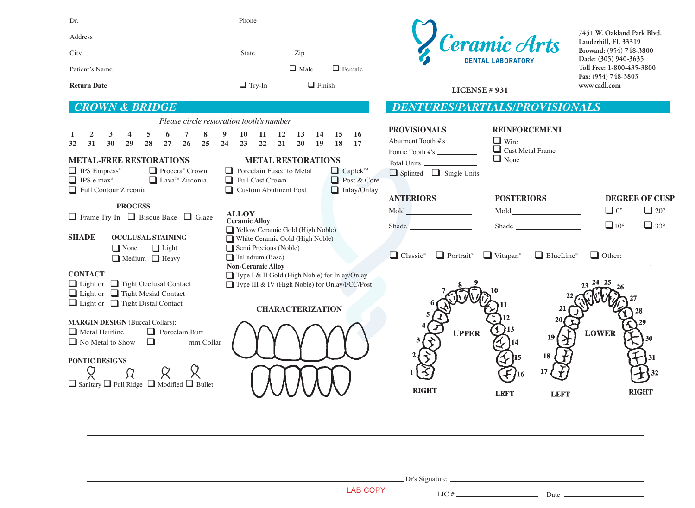| Patient's Name                                                                                                                                                                                                                                                                                                                                                                                                                                                                                                                                                                                                                                                                                                       | $Dr.$ Phone $\overline{\phantom{rrr}}$<br>$\Box$ Male<br>$\Box$ Female                                                                                                                                                                                                                                                                                                                                                                                                                                                |                                                                                                                                                                                                                                     | Ceramic Arts<br><b>DENTAL LABORATORY</b>                                                                                                                                                                                                                                                                                                                                                                                        | 7451 W. Oakland Park Blvd.<br>Lauderhill, FL 33319<br>Broward: (954) 748-3800<br>Dade: (305) 940-3635<br>Toll Free: 1-800-435-3800<br>Fax: (954) 748-3803<br>www.cadl.com |
|----------------------------------------------------------------------------------------------------------------------------------------------------------------------------------------------------------------------------------------------------------------------------------------------------------------------------------------------------------------------------------------------------------------------------------------------------------------------------------------------------------------------------------------------------------------------------------------------------------------------------------------------------------------------------------------------------------------------|-----------------------------------------------------------------------------------------------------------------------------------------------------------------------------------------------------------------------------------------------------------------------------------------------------------------------------------------------------------------------------------------------------------------------------------------------------------------------------------------------------------------------|-------------------------------------------------------------------------------------------------------------------------------------------------------------------------------------------------------------------------------------|---------------------------------------------------------------------------------------------------------------------------------------------------------------------------------------------------------------------------------------------------------------------------------------------------------------------------------------------------------------------------------------------------------------------------------|---------------------------------------------------------------------------------------------------------------------------------------------------------------------------|
|                                                                                                                                                                                                                                                                                                                                                                                                                                                                                                                                                                                                                                                                                                                      |                                                                                                                                                                                                                                                                                                                                                                                                                                                                                                                       | <b>LICENSE # 931</b>                                                                                                                                                                                                                |                                                                                                                                                                                                                                                                                                                                                                                                                                 |                                                                                                                                                                           |
| <b>CROWN &amp; BRIDGE</b>                                                                                                                                                                                                                                                                                                                                                                                                                                                                                                                                                                                                                                                                                            |                                                                                                                                                                                                                                                                                                                                                                                                                                                                                                                       | <b>DENTURES/PARTIALS/PROVISIONALS</b>                                                                                                                                                                                               |                                                                                                                                                                                                                                                                                                                                                                                                                                 |                                                                                                                                                                           |
| Please circle restoration tooth's number<br>$4 \quad 5$<br>6 <sup>1</sup><br>$\overline{27}$<br>$\overline{32}$<br>$\overline{28}$<br>30<br>29<br><b>METAL-FREE RESTORATIONS</b><br>$\Box$ IPS Empress <sup>®</sup><br>Procera <sup>®</sup> Crown<br>$\Box$ Lava <sup>TM</sup> Zirconia<br>$\Box$ IPS e.max <sup>®</sup><br>Full Contour Zirconia<br><b>PROCESS</b><br><b>ALLOY</b><br>$\Box$ Frame Try-In $\Box$ Bisque Bake $\Box$ Glaze<br><b>SHADE</b><br><b>OCCLUSAL STAINING</b><br>$\Box$ Light<br>$\Box$ None<br>$\Box$ Medium $\Box$ Heavy<br><b>CONTACT</b><br>$\Box$ Light or $\Box$ Tight Occlusal Contact<br>$\Box$ Light or $\Box$ Tight Mesial Contact<br>$\Box$ Light or $\Box$ Tight Distal Contact | 7 8 9 10 11 12 13 14 15 16<br>26 25 24 23 22 21 20 19 18 17<br><b>METAL RESTORATIONS</b><br>Porcelain Fused to Metal<br>$\Box$ Captek <sup>™</sup><br>Full Cast Crown<br>Post & Core<br>Custom Abutment Post<br>$\Box$ Inlay/Onlay<br><b>Ceramic Alloy</b><br>Yellow Ceramic Gold (High Noble)<br>White Ceramic Gold (High Noble)<br>$\Box$ Semi Precious (Noble)<br>Talladium (Base)<br><b>Non-Ceramic Alloy</b><br>□ Type I & II Gold (High Noble) for Inlay/Onlay<br>Type III & IV (High Noble) for Onlay/FCC/Post | <b>PROVISIONALS</b><br>Abutment Tooth #'s _________<br>Pontic Tooth #'s<br>$\Box$ Splinted $\Box$ Single Units<br><b>ANTERIORS</b><br>Shade<br>$\Box$ Classic <sup>®</sup> $\Box$ Portrait <sup>®</sup> $\Box$ Vitapan <sup>®</sup> | <b>REINFORCEMENT</b><br>$\Box$ Wire<br>Cast Metal Frame<br>$\Box$ None<br><b>POSTERIORS</b><br>Shade<br>$\Box$ BlueLine <sup>®</sup>                                                                                                                                                                                                                                                                                            | <b>DEGREE OF CUSP</b><br>$\Box$ 0°<br>$\Box$ 20 $^{\circ}$<br>$\Box$ 10°<br>$\Box$ 33°<br>$\Box$ Other: $\Box$                                                            |
| <b>MARGIN DESIGN (Buccal Collars):</b><br>$\Box$ Porcelain Butt<br>$\Box$ Metal Hairline<br>No Metal to Show<br>$\Box$ mm Collar<br>PONTIC DESIGNS<br>Я<br>□ Sanitary □ Full Ridge □ Modified □ Bullet                                                                                                                                                                                                                                                                                                                                                                                                                                                                                                               | <b>CHARACTERIZATION</b><br><b>UUUUU</b>                                                                                                                                                                                                                                                                                                                                                                                                                                                                               | <b>UPPER</b><br><b>RIGHT</b>                                                                                                                                                                                                        | <b>LEFT</b><br><b>LEFT</b>                                                                                                                                                                                                                                                                                                                                                                                                      | <b>LOWER</b><br><b>RIGHT</b>                                                                                                                                              |
|                                                                                                                                                                                                                                                                                                                                                                                                                                                                                                                                                                                                                                                                                                                      |                                                                                                                                                                                                                                                                                                                                                                                                                                                                                                                       |                                                                                                                                                                                                                                     |                                                                                                                                                                                                                                                                                                                                                                                                                                 |                                                                                                                                                                           |
|                                                                                                                                                                                                                                                                                                                                                                                                                                                                                                                                                                                                                                                                                                                      | <b>LAB COPY</b>                                                                                                                                                                                                                                                                                                                                                                                                                                                                                                       | Dr's Signature<br>LIC $#_$                                                                                                                                                                                                          | $\frac{1}{\sqrt{1-\frac{1}{2}}}\frac{1}{\sqrt{1-\frac{1}{2}}}\frac{1}{\sqrt{1-\frac{1}{2}}}\frac{1}{\sqrt{1-\frac{1}{2}}}\frac{1}{\sqrt{1-\frac{1}{2}}}\frac{1}{\sqrt{1-\frac{1}{2}}}\frac{1}{\sqrt{1-\frac{1}{2}}}\frac{1}{\sqrt{1-\frac{1}{2}}}\frac{1}{\sqrt{1-\frac{1}{2}}}\frac{1}{\sqrt{1-\frac{1}{2}}}\frac{1}{\sqrt{1-\frac{1}{2}}}\frac{1}{\sqrt{1-\frac{1}{2}}}\frac{1}{\sqrt{1-\frac{1}{2}}}\frac{1}{\sqrt{1-\frac{$ |                                                                                                                                                                           |